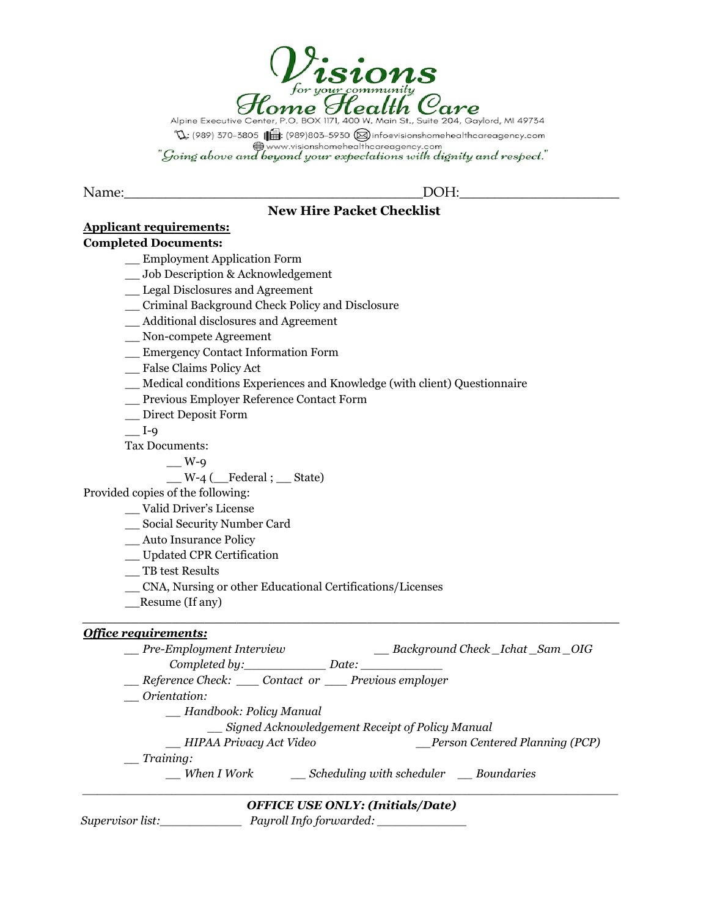

Alpine Executive Center, P.O. BOX 1171, 400 W. Main St., Suite 204, Gaylord, MI 49734  $\mathbb{Q}$ ; (989) 370-3805 ( $\mathbb{G}$ : (989)803-5930  $\otimes$  infoevisionshomehealthcareagency.com www.visionshomehealthcareagency.com<br>"Going above and beyond your expectations with dignity and respect."

Name:\_\_\_\_\_\_\_\_\_\_\_\_\_\_\_\_\_\_\_\_\_\_\_\_\_\_\_\_\_\_\_\_\_\_\_\_\_\_\_\_\_\_\_DOH:\_\_\_\_\_\_\_\_\_\_\_\_\_\_\_\_\_\_\_\_\_\_\_

# **New Hire Packet Checklist**

# **Applicant requirements:**

# **Completed Documents:**

\_\_ Employment Application Form

- \_\_ Job Description & Acknowledgement
- \_\_ Legal Disclosures and Agreement
- \_\_ Criminal Background Check Policy and Disclosure
- \_\_ Additional disclosures and Agreement
- \_\_ Non-compete Agreement
- \_\_ Emergency Contact Information Form

\_\_ False Claims Policy Act

- \_\_ Medical conditions Experiences and Knowledge (with client) Questionnaire
- \_\_ Previous Employer Reference Contact Form
- \_\_ Direct Deposit Form

 $I-9$ 

Tax Documents:

 $\_$  W-9

 $W-4$  (Federal ; State)

Provided copies of the following:

- \_\_ Valid Driver's License
- \_\_ Social Security Number Card
- \_\_ Auto Insurance Policy
- \_\_ Updated CPR Certification
- \_\_ TB test Results
- \_\_ CNA, Nursing or other Educational Certifications/Licenses
- \_\_Resume (If any)

# *Of ice requirements:*

*\_\_ Pre-Employment Interview \_\_ Background Check \_Ichat \_Sam \_OIG Completed by: Date: \_\_ Reference Check: \_\_\_ Contact or \_\_\_ Previous employer \_\_ Orientation: \_\_ Handbook: Policy Manual \_\_ Signed Acknowledgement Receipt of Policy Manual \_\_ HIPAA Privacy Act Video \_\_Person Centered Planning (PCP) \_\_ Training: \_\_ When I Work \_\_ Scheduling with scheduler \_\_ Boundaries \_\_\_\_\_\_\_\_\_\_\_\_\_\_\_\_\_\_\_\_\_\_\_\_\_\_\_\_\_\_\_\_\_\_\_\_\_\_\_\_\_\_\_\_\_\_\_\_\_\_\_\_\_\_\_\_\_\_\_\_\_\_\_\_\_\_\_\_\_\_\_\_ OFFICE USE ONLY: (Initials/Date)*

*\_\_\_\_\_\_\_\_\_\_\_\_\_\_\_\_\_\_\_\_\_\_\_\_\_\_\_\_\_\_\_\_\_\_\_\_\_\_\_\_\_\_\_\_\_\_\_\_\_\_\_\_\_\_\_\_\_\_\_\_\_\_\_\_\_\_*

*Supervisor list:\_\_\_\_\_\_\_\_\_\_\_ Payroll Info forwarded: \_\_\_\_\_\_\_\_\_\_\_\_*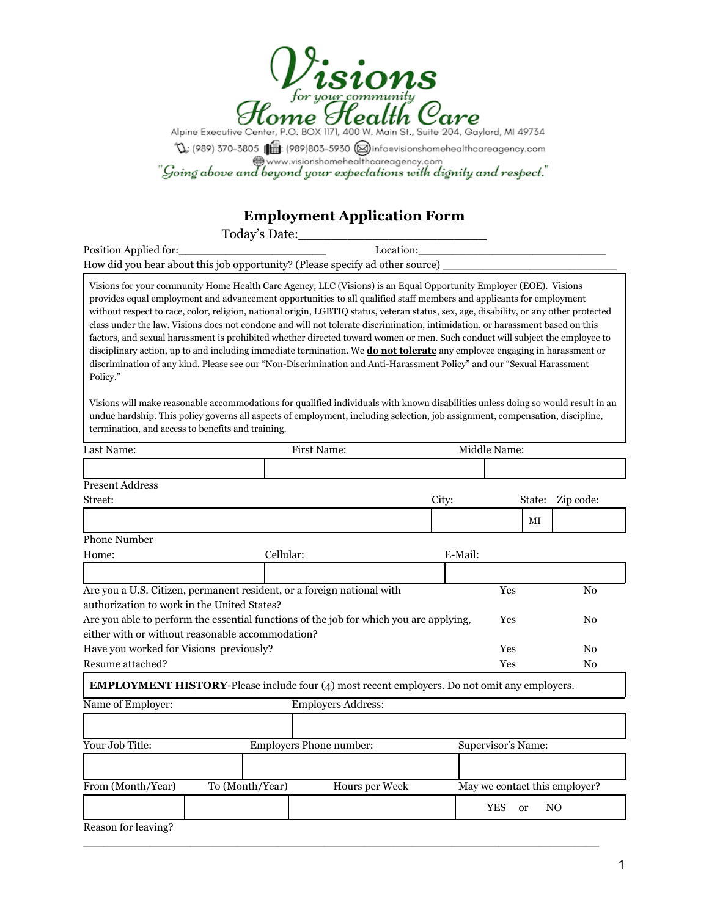

 $\mathbb{Q}$ : (989) 370-3805 (11: (989) 803-5930 (11: (989) antoavisionshomehealthcareagency.com<br>"Going above and beyond your expectations with dignity and respect."

# **Employment Application Form**

Today's Date:\_\_\_\_\_\_\_\_\_\_\_\_\_\_\_\_\_\_\_\_\_\_\_

| Position Applied for:                                                         | Location: |
|-------------------------------------------------------------------------------|-----------|
| How did you hear about this job opportunity? (Please specify ad other source) |           |

Visions for your community Home Health Care Agency, LLC (Visions) is an Equal Opportunity Employer (EOE). Visions provides equal employment and advancement opportunities to all qualified staff members and applicants for employment without respect to race, color, religion, national origin, LGBTIQ status, veteran status, sex, age, disability, or any other protected class under the law. Visions does not condone and will not tolerate discrimination, intimidation, or harassment based on this factors, and sexual harassment is prohibited whether directed toward women or men. Such conduct will subject the employee to disciplinary action, up to and including immediate termination. We **do not tolerate** any employee engaging in harassment or discrimination of any kind. Please see our "Non-Discrimination and Anti-Harassment Policy" and our "Sexual Harassment Policy."

Visions will make reasonable accommodations for qualified individuals with known disabilities unless doing so would result in an undue hardship. This policy governs all aspects of employment, including selection, job assignment, compensation, discipline, termination, and access to benefits and training.

| Last Name:                                  |                                                                                                     | First Name:               |         | Middle Name:                |                               |
|---------------------------------------------|-----------------------------------------------------------------------------------------------------|---------------------------|---------|-----------------------------|-------------------------------|
|                                             |                                                                                                     |                           |         |                             |                               |
| <b>Present Address</b>                      |                                                                                                     |                           |         |                             |                               |
| Street:                                     |                                                                                                     |                           | City:   | State:                      | Zip code:                     |
|                                             |                                                                                                     |                           |         | MI                          |                               |
| <b>Phone Number</b>                         |                                                                                                     |                           |         |                             |                               |
| Home:                                       | Cellular:                                                                                           |                           | E-Mail: |                             |                               |
|                                             |                                                                                                     |                           |         |                             |                               |
| authorization to work in the United States? | Are you a U.S. Citizen, permanent resident, or a foreign national with                              |                           |         | Yes                         | N <sub>0</sub>                |
|                                             | Are you able to perform the essential functions of the job for which you are applying,              |                           |         | Yes                         | No                            |
|                                             | either with or without reasonable accommodation?                                                    |                           |         |                             |                               |
| Have you worked for Visions previously?     |                                                                                                     |                           |         | Yes                         | N <sub>0</sub>                |
| Resume attached?                            |                                                                                                     |                           |         | Yes                         | No                            |
|                                             | <b>EMPLOYMENT HISTORY-Please include four (4) most recent employers. Do not omit any employers.</b> |                           |         |                             |                               |
| Name of Employer:                           |                                                                                                     | <b>Employers Address:</b> |         |                             |                               |
|                                             |                                                                                                     |                           |         |                             |                               |
| Your Job Title:                             |                                                                                                     | Employers Phone number:   |         | Supervisor's Name:          |                               |
|                                             |                                                                                                     |                           |         |                             |                               |
| From (Month/Year)                           | To (Month/Year)                                                                                     | Hours per Week            |         |                             | May we contact this employer? |
|                                             |                                                                                                     |                           |         | <b>YES</b><br><sub>or</sub> | N <sub>O</sub>                |
| Reason for leaving?                         |                                                                                                     |                           |         |                             |                               |

\_\_\_\_\_\_\_\_\_\_\_\_\_\_\_\_\_\_\_\_\_\_\_\_\_\_\_\_\_\_\_\_\_\_\_\_\_\_\_\_\_\_\_\_\_\_\_\_\_\_\_\_\_\_\_\_\_\_\_\_\_\_\_\_\_\_\_\_\_\_\_\_\_\_\_\_\_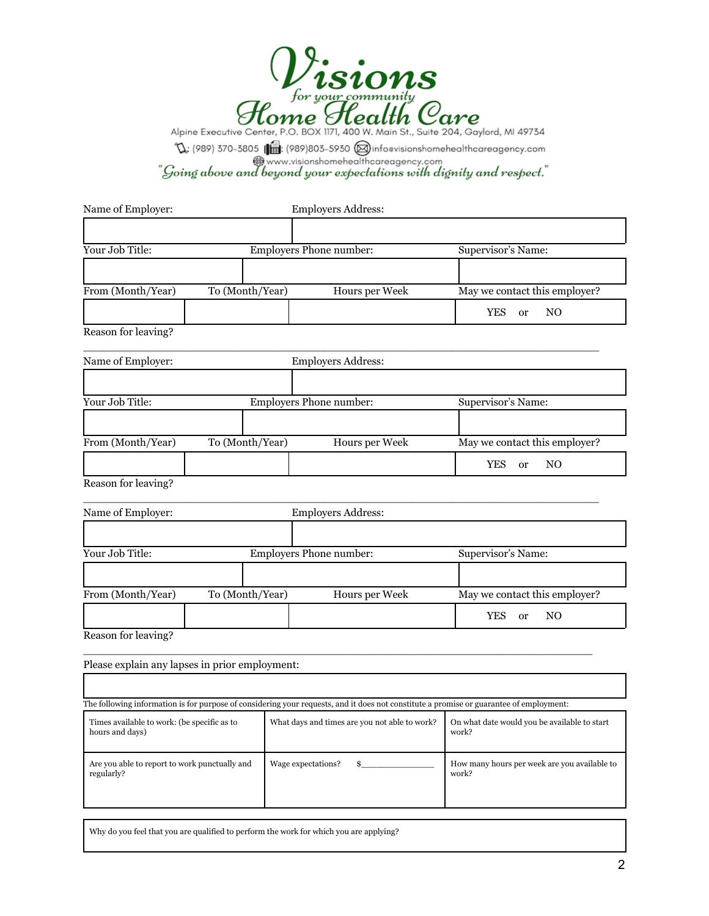

 $\mathbb{Q}$ : (989) 370-3805 ( $\mathbb{Q}$ : (989) 803-5930 (a) inforvisionshomehealthcareagency.com<br>"Going above and beyond your expectations with dignity and respect."

| Name of Employer:                                              |                                                | Employers Address:                                                                                                                      |                                                       |
|----------------------------------------------------------------|------------------------------------------------|-----------------------------------------------------------------------------------------------------------------------------------------|-------------------------------------------------------|
|                                                                |                                                |                                                                                                                                         |                                                       |
| Your Job Title:                                                |                                                | Employers Phone number:                                                                                                                 | Supervisor's Name:                                    |
|                                                                |                                                |                                                                                                                                         |                                                       |
| From (Month/Year)                                              | To (Month/Year)                                | Hours per Week                                                                                                                          | May we contact this employer?                         |
|                                                                |                                                |                                                                                                                                         | <b>YES</b><br>N <sub>O</sub><br>or                    |
| Reason for leaving?                                            |                                                |                                                                                                                                         |                                                       |
| Name of Employer:                                              |                                                | Employers Address:                                                                                                                      |                                                       |
|                                                                |                                                |                                                                                                                                         |                                                       |
| Your Job Title:                                                |                                                | Employers Phone number:                                                                                                                 | Supervisor's Name:                                    |
|                                                                |                                                |                                                                                                                                         |                                                       |
| From (Month/Year)                                              | To (Month/Year)                                | Hours per Week                                                                                                                          | May we contact this employer?                         |
|                                                                |                                                |                                                                                                                                         | <b>YES</b><br>N <sub>O</sub><br>or                    |
| Reason for leaving?                                            |                                                |                                                                                                                                         |                                                       |
| Name of Employer:                                              |                                                | <b>Employers Address:</b>                                                                                                               |                                                       |
|                                                                |                                                |                                                                                                                                         |                                                       |
| Your Job Title:                                                |                                                | Employers Phone number:                                                                                                                 | Supervisor's Name:                                    |
|                                                                |                                                |                                                                                                                                         |                                                       |
| From (Month/Year)                                              | To (Month/Year)                                | Hours per Week                                                                                                                          | May we contact this employer?                         |
|                                                                |                                                |                                                                                                                                         | <b>YES</b><br>N <sub>O</sub><br>or                    |
| Reason for leaving?                                            |                                                |                                                                                                                                         |                                                       |
|                                                                | Please explain any lapses in prior employment: |                                                                                                                                         |                                                       |
|                                                                |                                                |                                                                                                                                         |                                                       |
|                                                                |                                                | The following information is for purpose of considering your requests, and it does not constitute a promise or guarantee of employment: |                                                       |
| Times available to work: (be specific as to<br>hours and days) |                                                | What days and times are you not able to work?                                                                                           | On what date would you be available to start<br>work? |
| Are you able to report to work punctually and<br>regularly?    |                                                | Wage expectations?<br>$\sim$                                                                                                            | How many hours per week are you available to<br>work? |
|                                                                |                                                |                                                                                                                                         |                                                       |

Why do you feel that you are qualified to perform the work for which you are applying?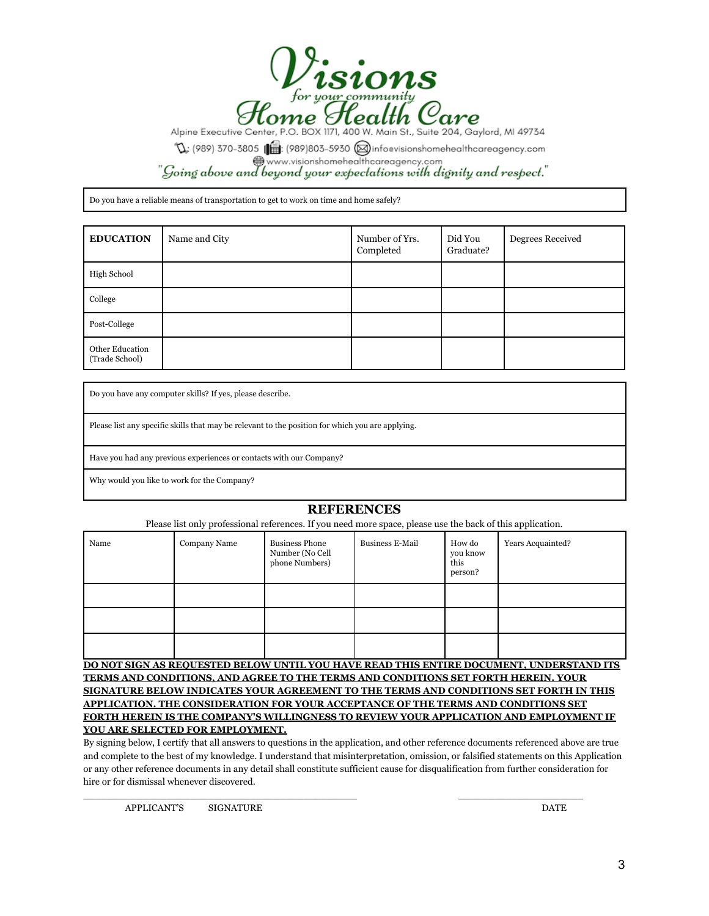

 $\mathbb{Q}$ : (989) 370-3805 ( $\blacksquare$ : (989)803-5930 (@infoevisionshomehealthcareagency.com<br>www.visionshomehealthcareagency.com<br>"Going above and beyond your expectations with dignity and respect."

Do you have a reliable means of transportation to get to work on time and home safely?

| <b>EDUCATION</b>                  | Name and City | Number of Yrs.<br>Completed | Did You<br>Graduate? | Degrees Received |
|-----------------------------------|---------------|-----------------------------|----------------------|------------------|
| High School                       |               |                             |                      |                  |
| College                           |               |                             |                      |                  |
| Post-College                      |               |                             |                      |                  |
| Other Education<br>(Trade School) |               |                             |                      |                  |

Do you have any computer skills? If yes, please describe.

Please list any specific skills that may be relevant to the position for which you are applying.

Have you had any previous experiences or contacts with our Company?

Why would you like to work for the Company?

#### **REFERENCES**

Please list only professional references. If you need more space, please use the back of this application.

| Name | Company Name | <b>Business Phone</b><br>Number (No Cell<br>phone Numbers) | <b>Business E-Mail</b> | How do<br>you know<br>this<br>person? | Years Acquainted? |
|------|--------------|------------------------------------------------------------|------------------------|---------------------------------------|-------------------|
|      |              |                                                            |                        |                                       |                   |
|      |              |                                                            |                        |                                       |                   |
|      |              |                                                            |                        |                                       |                   |

**DO NOT SIGN AS REQUESTED BELOW UNTIL YOU HAVE READ THIS ENTIRE DOCUMENT, UNDERSTAND ITS TERMS AND CONDITIONS, AND AGREE TO THE TERMS AND CONDITIONS SET FORTH HEREIN. YOUR SIGNATURE BELOW INDICATES YOUR AGREEMENT TO THE TERMS AND CONDITIONS SET FORTH IN THIS APPLICATION. THE CONSIDERATION FOR YOUR ACCEPTANCE OF THE TERMS AND CONDITIONS SET FORTH HEREIN IS THE COMPANY'S WILLINGNESS TO REVIEW YOUR APPLICATION AND EMPLOYMENT IF YOU ARE SELECTED FOR EMPLOYMENT.**

By signing below, I certify that all answers to questions in the application, and other reference documents referenced above are true and complete to the best of my knowledge. I understand that misinterpretation, omission, or falsified statements on this Application or any other reference documents in any detail shall constitute sufficient cause for disqualification from further consideration for hire or for dismissal whenever discovered.

\_\_\_\_\_\_\_\_\_\_\_\_\_\_\_\_\_\_\_\_\_\_\_\_\_\_\_\_\_\_\_\_\_\_\_\_\_\_\_\_\_\_\_\_\_\_ \_\_\_\_\_\_\_\_\_\_\_\_\_\_\_\_\_\_\_\_\_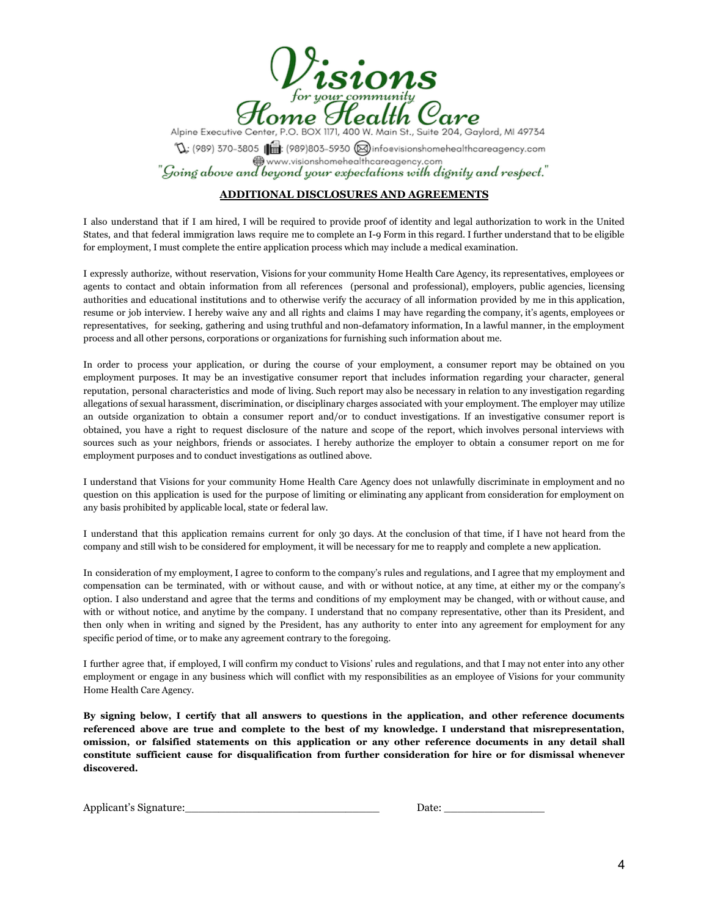

Alpine Executive Center, P.O. BOX 1171, 400 W. Main St., Suite 204, Gaylord, MI 49734  $\mathbb{Q}$ : (989) 370-3805 (989)803-5930 (a) infoevisionshomehealthcareagency.com<br>
www.visionshomehealthcareagency.com  $"$ Going above and beyond your expectations with dignity and respect."

#### **ADDITIONAL DISCLOSURES AND AGREEMENTS**

I also understand that if I am hired, I will be required to provide proof of identity and legal authorization to work in the United States, and that federal immigration laws require me to complete an I-9 Form in this regard. I further understand that to be eligible for employment, I must complete the entire application process which may include a medical examination.

I expressly authorize, without reservation, Visions for your community Home Health Care Agency, its representatives, employees or agents to contact and obtain information from all references (personal and professional), employers, public agencies, licensing authorities and educational institutions and to otherwise verify the accuracy of all information provided by me in this application, resume or job interview. I hereby waive any and all rights and claims I may have regarding the company, it's agents, employees or representatives, for seeking, gathering and using truthful and non-defamatory information, In a lawful manner, in the employment process and all other persons, corporations or organizations for furnishing such information about me.

In order to process your application, or during the course of your employment, a consumer report may be obtained on you employment purposes. It may be an investigative consumer report that includes information regarding your character, general reputation, personal characteristics and mode of living. Such report may also be necessary in relation to any investigation regarding allegations of sexual harassment, discrimination, or disciplinary charges associated with your employment. The employer may utilize an outside organization to obtain a consumer report and/or to conduct investigations. If an investigative consumer report is obtained, you have a right to request disclosure of the nature and scope of the report, which involves personal interviews with sources such as your neighbors, friends or associates. I hereby authorize the employer to obtain a consumer report on me for employment purposes and to conduct investigations as outlined above.

I understand that Visions for your community Home Health Care Agency does not unlawfully discriminate in employment and no question on this application is used for the purpose of limiting or eliminating any applicant from consideration for employment on any basis prohibited by applicable local, state or federal law.

I understand that this application remains current for only 30 days. At the conclusion of that time, if I have not heard from the company and still wish to be considered for employment, it will be necessary for me to reapply and complete a new application.

In consideration of my employment, I agree to conform to the company's rules and regulations, and I agree that my employment and compensation can be terminated, with or without cause, and with or without notice, at any time, at either my or the company's option. I also understand and agree that the terms and conditions of my employment may be changed, with or without cause, and with or without notice, and anytime by the company. I understand that no company representative, other than its President, and then only when in writing and signed by the President, has any authority to enter into any agreement for employment for any specific period of time, or to make any agreement contrary to the foregoing.

I further agree that, if employed, I will confirm my conduct to Visions' rules and regulations, and that I may not enter into any other employment or engage in any business which will conflict with my responsibilities as an employee of Visions for your community Home Health Care Agency.

By signing below, I certify that all answers to questions in the application, and other reference documents **referenced above are true and complete to the best of my knowledge. I understand that misrepresentation, omission, or falsified statements on this application or any other reference documents in any detail shall constitute sufficient cause for disqualification from further consideration for hire or for dismissal whenever discovered.**

Applicant's Signature: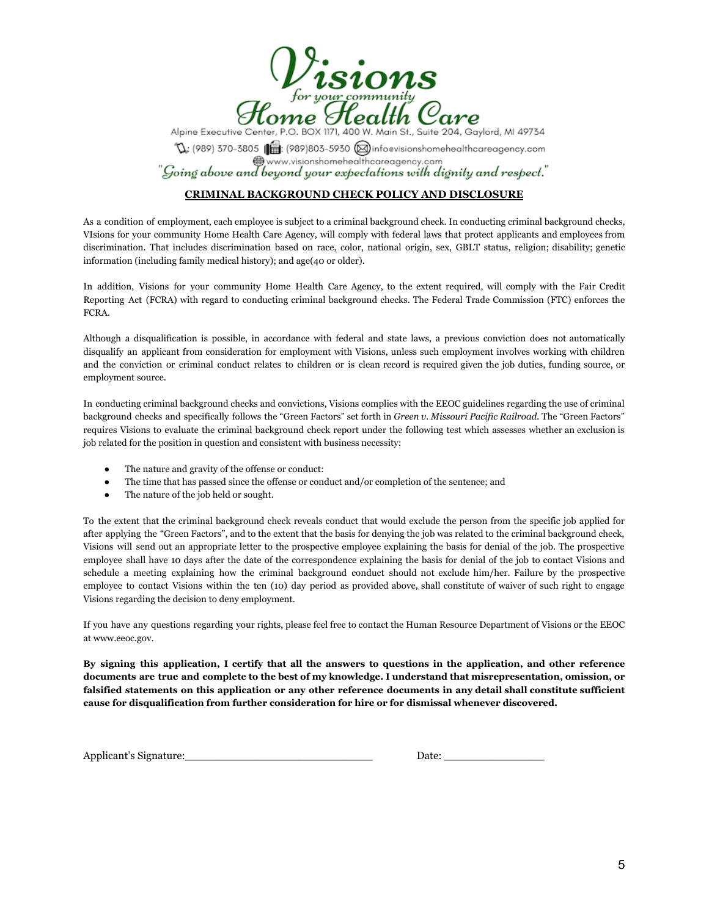

Alpine Executive Center, P.O. BOX 1171, 400 W. Main St., Suite 204, Gaylord, MI 49734  $\mathbb{Q}$ : (989) 370-3805 ( $\bigoplus$ : (989)803-5930 (a) infoevisionshomehealthcareagency.com<br>(a) www.visionshomehealthcareagency.com www.visionshomehealthcareagency.com (going above and beyond your expectations with dignity and respect."<br>"Going above and beyond your expectations with dignity and respect."

#### **CRIMINAL BACKGROUND CHECK POLICY AND DISCLOSURE**

As a condition of employment, each employee is subject to a criminal background check. In conducting criminal background checks, VIsions for your community Home Health Care Agency, will comply with federal laws that protect applicants and employees from discrimination. That includes discrimination based on race, color, national origin, sex, GBLT status, religion; disability; genetic information (including family medical history); and age(40 or older).

In addition, Visions for your community Home Health Care Agency, to the extent required, will comply with the Fair Credit Reporting Act (FCRA) with regard to conducting criminal background checks. The Federal Trade Commission (FTC) enforces the FCRA.

Although a disqualification is possible, in accordance with federal and state laws, a previous conviction does not automatically disqualify an applicant from consideration for employment with Visions, unless such employment involves working with children and the conviction or criminal conduct relates to children or is clean record is required given the job duties, funding source, or employment source.

In conducting criminal background checks and convictions, Visions complies with the EEOC guidelines regarding the use of criminal background checks and specifically follows the "Green Factors" set forth in *Green v. Missouri Pacific Railroad.* The "Green Factors" requires Visions to evaluate the criminal background check report under the following test which assesses whether an exclusion is job related for the position in question and consistent with business necessity:

- The nature and gravity of the offense or conduct:
- The time that has passed since the offense or conduct and/or completion of the sentence; and
- The nature of the job held or sought.

To the extent that the criminal background check reveals conduct that would exclude the person from the specific job applied for after applying the "Green Factors", and to the extent that the basis for denying the job was related to the criminal background check, Visions will send out an appropriate letter to the prospective employee explaining the basis for denial of the job. The prospective employee shall have 10 days after the date of the correspondence explaining the basis for denial of the job to contact Visions and schedule a meeting explaining how the criminal background conduct should not exclude him/her. Failure by the prospective employee to contact Visions within the ten (10) day period as provided above, shall constitute of waiver of such right to engage Visions regarding the decision to deny employment.

If you have any questions regarding your rights, please feel free to contact the Human Resource Department of Visions or the EEOC at [www.e](http://www.c.go)eoc.gov.

By signing this application, I certify that all the answers to questions in the application, and other reference documents are true and complete to the best of my knowledge. I understand that misrepresentation, omission, or falsified statements on this application or any other reference documents in any detail shall constitute sufficient **cause for disqualification from further consideration for hire or for dismissal whenever discovered.**

Applicant's Signature:\_\_\_\_\_\_\_\_\_\_\_\_\_\_\_\_\_\_\_\_\_\_\_\_\_\_\_\_ Date: \_\_\_\_\_\_\_\_\_\_\_\_\_\_\_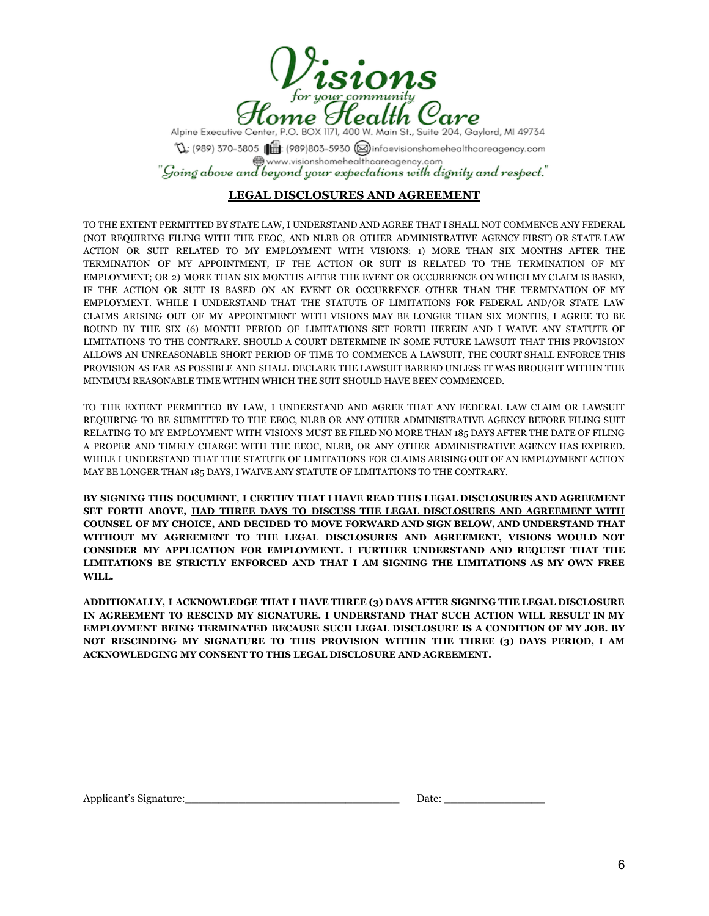

Alpine Executive Center, P.O. BOX 1171, 400 W. Main St., Suite 204, Gaylord, MI 49734  $\mathbb{Q}$ : (989) 370-3805 ( $\blacksquare$ : (989)803-5930 (@infoevisionshomehealthcareagency.com<br>www.visionshomehealthcareagency.com<br>"Going above and beyond your expectations with dignity and respect."

## **LEGAL DISCLOSURES AND AGREEMENT**

TO THE EXTENT PERMITTED BY STATE LAW, I UNDERSTAND AND AGREE THAT I SHALL NOT COMMENCE ANY FEDERAL (NOT REQUIRING FILING WITH THE EEOC, AND NLRB OR OTHER ADMINISTRATIVE AGENCY FIRST) OR STATE LAW ACTION OR SUIT RELATED TO MY EMPLOYMENT WITH VISIONS: 1) MORE THAN SIX MONTHS AFTER THE TERMINATION OF MY APPOINTMENT, IF THE ACTION OR SUIT IS RELATED TO THE TERMINATION OF MY EMPLOYMENT; OR 2) MORE THAN SIX MONTHS AFTER THE EVENT OR OCCURRENCE ON WHICH MY CLAIM IS BASED, IF THE ACTION OR SUIT IS BASED ON AN EVENT OR OCCURRENCE OTHER THAN THE TERMINATION OF MY EMPLOYMENT. WHILE I UNDERSTAND THAT THE STATUTE OF LIMITATIONS FOR FEDERAL AND/OR STATE LAW CLAIMS ARISING OUT OF MY APPOINTMENT WITH VISIONS MAY BE LONGER THAN SIX MONTHS, I AGREE TO BE BOUND BY THE SIX (6) MONTH PERIOD OF LIMITATIONS SET FORTH HEREIN AND I WAIVE ANY STATUTE OF LIMITATIONS TO THE CONTRARY. SHOULD A COURT DETERMINE IN SOME FUTURE LAWSUIT THAT THIS PROVISION ALLOWS AN UNREASONABLE SHORT PERIOD OF TIME TO COMMENCE A LAWSUIT, THE COURT SHALL ENFORCE THIS PROVISION AS FAR AS POSSIBLE AND SHALL DECLARE THE LAWSUIT BARRED UNLESS IT WAS BROUGHT WITHIN THE MINIMUM REASONABLE TIME WITHIN WHICH THE SUIT SHOULD HAVE BEEN COMMENCED.

TO THE EXTENT PERMITTED BY LAW, I UNDERSTAND AND AGREE THAT ANY FEDERAL LAW CLAIM OR LAWSUIT REQUIRING TO BE SUBMITTED TO THE EEOC, NLRB OR ANY OTHER ADMINISTRATIVE AGENCY BEFORE FILING SUIT RELATING TO MY EMPLOYMENT WITH VISIONS MUST BE FILED NO MORE THAN 185 DAYS AFTER THE DATE OF FILING A PROPER AND TIMELY CHARGE WITH THE EEOC, NLRB, OR ANY OTHER ADMINISTRATIVE AGENCY HAS EXPIRED. WHILE I UNDERSTAND THAT THE STATUTE OF LIMITATIONS FOR CLAIMS ARISING OUT OF AN EMPLOYMENT ACTION MAY BE LONGER THAN 185 DAYS, I WAIVE ANY STATUTE OF LIMITATIONS TO THE CONTRARY.

**BY SIGNING THIS DOCUMENT, I CERTIFY THAT I HAVE READ THIS LEGAL DISCLOSURES AND AGREEMENT SET FORTH ABOVE, HAD THREE DAYS TO DISCUSS THE LEGAL DISCLOSURES AND AGREEMENT WITH COUNSEL OF MY CHOICE, AND DECIDED TO MOVE FORWARD AND SIGN BELOW, AND UNDERSTAND THAT WITHOUT MY AGREEMENT TO THE LEGAL DISCLOSURES AND AGREEMENT, VISIONS WOULD NOT CONSIDER MY APPLICATION FOR EMPLOYMENT. I FURTHER UNDERSTAND AND REQUEST THAT THE LIMITATIONS BE STRICTLY ENFORCED AND THAT I AM SIGNING THE LIMITATIONS AS MY OWN FREE WILL.**

**ADDITIONALLY, I ACKNOWLEDGE THAT I HAVE THREE (3) DAYS AFTER SIGNING THE LEGAL DISCLOSURE IN AGREEMENT TO RESCIND MY SIGNATURE. I UNDERSTAND THAT SUCH ACTION WILL RESULT IN MY EMPLOYMENT BEING TERMINATED BECAUSE SUCH LEGAL DISCLOSURE IS A CONDITION OF MY JOB. BY NOT RESCINDING MY SIGNATURE TO THIS PROVISION WITHIN THE THREE (3) DAYS PERIOD, I AM ACKNOWLEDGING MY CONSENT TO THIS LEGAL DISCLOSURE AND AGREEMENT.**

| Applicant's Signature: |  |
|------------------------|--|
|                        |  |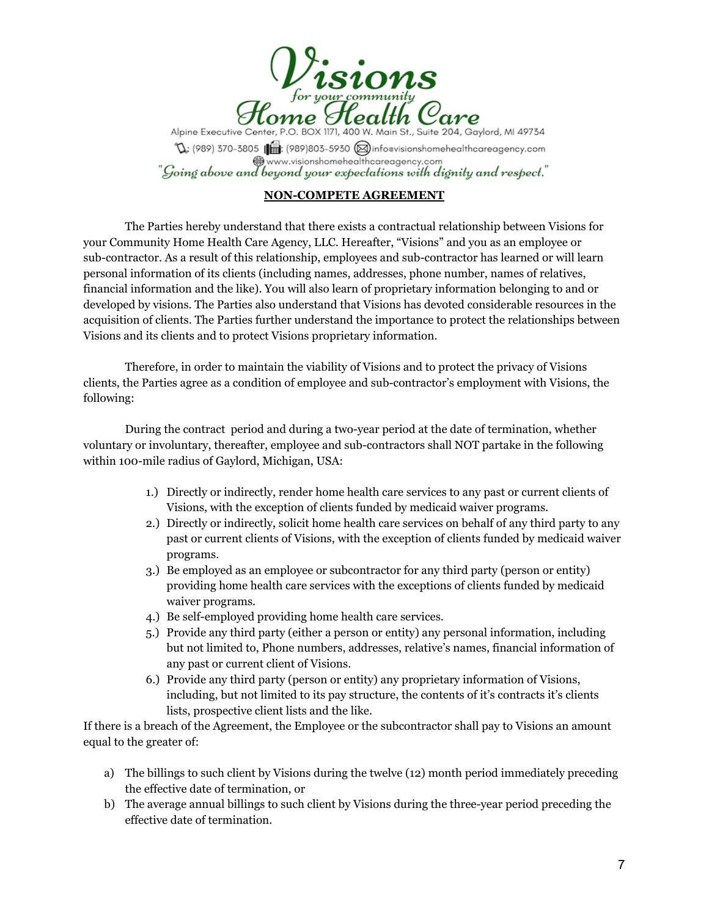![](_page_7_Picture_0.jpeg)

Alpine Executive Center, P.O. BOX 1171, 400 W. Main St., Suite 204, Gaylord, MI 49734  $\mathbb{Q}$ ; (989) 370-3805 ( $\mathbb{R}$ : (989)803-5930 ( $\otimes$ ) infoevisionshomehealthcareagency.com www.visionshomehealthcareagency.com "Going above and beyond your expectations with dignity and respect."

## **NON-COMPETE AGREEMENT**

The Parties hereby understand that there exists a contractual relationship between Visions for your Community Home Health Care Agency, LLC. Hereafter, "Visions" and you as an employee or sub-contractor. As a result of this relationship, employees and sub-contractor has learned or will learn personal information of its clients (including names, addresses, phone number, names of relatives, financial information and the like). You will also learn of proprietary information belonging to and or developed by visions. The Parties also understand that Visions has devoted considerable resources in the acquisition of clients. The Parties further understand the importance to protect the relationships between Visions and its clients and to protect Visions proprietary information.

Therefore, in order to maintain the viability of Visions and to protect the privacy of Visions clients, the Parties agree as a condition of employee and sub-contractor's employment with Visions, the following:

During the contract period and during a two-year period at the date of termination, whether voluntary or involuntary, thereafter, employee and sub-contractors shall NOT partake in the following within 100-mile radius of Gaylord, Michigan, USA:

- 1.) Directly or indirectly, render home health care services to any past or current clients of Visions, with the exception of clients funded by medicaid waiver programs.
- 2.) Directly or indirectly, solicit home health care services on behalf of any third party to any past or current clients of Visions, with the exception of clients funded by medicaid waiver programs.
- 3.) Be employed as an employee or subcontractor for any third party (person or entity) providing home health care services with the exceptions of clients funded by medicaid waiver programs.
- 4.) Be self-employed providing home health care services.
- 5.) Provide any third party (either a person or entity) any personal information, including but not limited to, Phone numbers, addresses, relative's names, financial information of any past or current client of Visions.
- 6.) Provide any third party (person or entity) any proprietary information of Visions, including, but not limited to its pay structure, the contents of it's contracts it's clients lists, prospective client lists and the like.

If there is a breach of the Agreement, the Employee or the subcontractor shall pay to Visions an amount equal to the greater of:

- a) The billings to such client by Visions during the twelve (12) month period immediately preceding the effective date of termination, or
- b) The average annual billings to such client by Visions during the three-year period preceding the effective date of termination.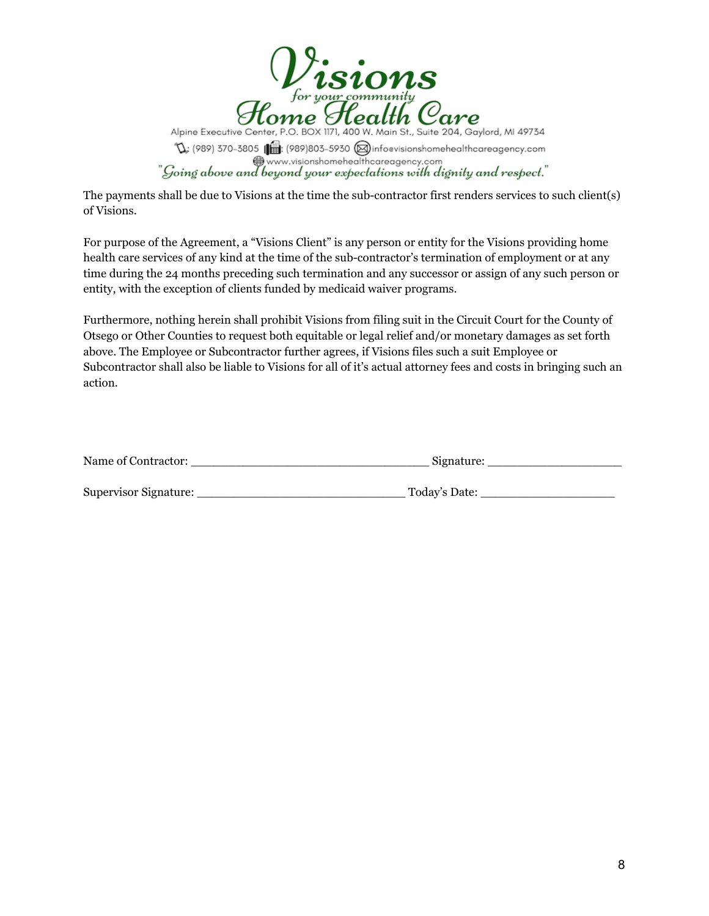![](_page_8_Picture_0.jpeg)

The payments shall be due to Visions at the time the sub-contractor first renders services to such client(s) of Visions.

For purpose of the Agreement, a "Visions Client" is any person or entity for the Visions providing home health care services of any kind at the time of the sub-contractor's termination of employment or at any time during the 24 months preceding such termination and any successor or assign of any such person or entity, with the exception of clients funded by medicaid waiver programs.

Furthermore, nothing herein shall prohibit Visions from filing suit in the Circuit Court for the County of Otsego or Other Counties to request both equitable or legal relief and/or monetary damages as set forth above. The Employee or Subcontractor further agrees, if Visions files such a suit Employee or Subcontractor shall also be liable to Visions for all of it's actual attorney fees and costs in bringing such an action.

| Name of Contractor:   | Signature:    |
|-----------------------|---------------|
|                       |               |
| Supervisor Signature: | Today's Date: |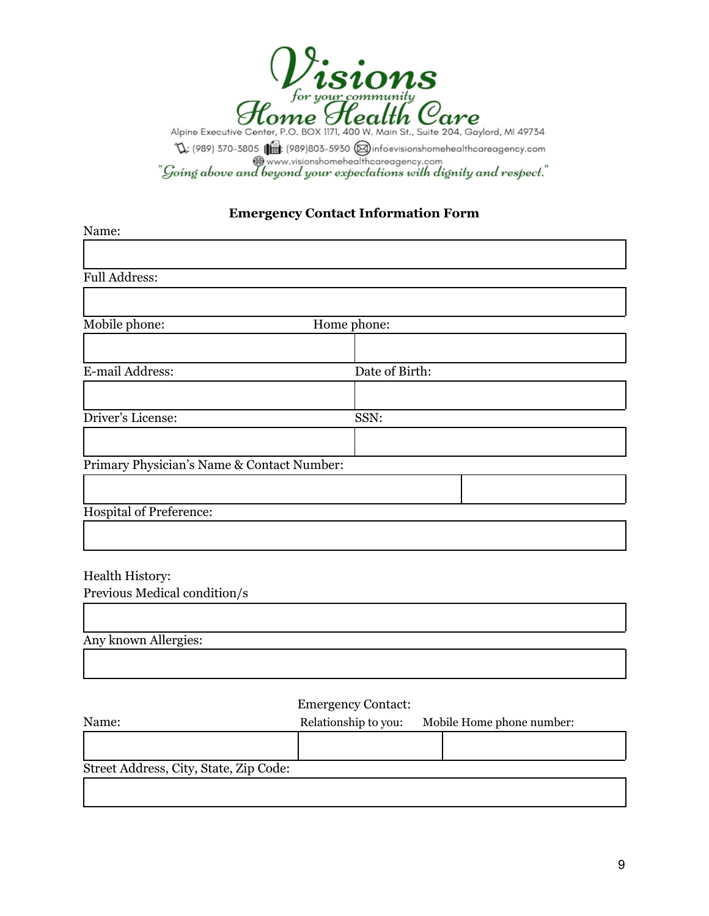![](_page_9_Picture_0.jpeg)

# **Emergency Contact Information Form**

| Name:                                      |                |  |
|--------------------------------------------|----------------|--|
|                                            |                |  |
| <b>Full Address:</b>                       |                |  |
|                                            |                |  |
| Mobile phone:                              | Home phone:    |  |
|                                            |                |  |
| E-mail Address:                            | Date of Birth: |  |
|                                            |                |  |
| Driver's License:                          | SSN:           |  |
|                                            |                |  |
| Primary Physician's Name & Contact Number: |                |  |
|                                            |                |  |
| <b>Hospital of Preference:</b>             |                |  |
|                                            |                |  |

#### Health History:

Г

Previous Medical condition/s

| Any known Allergies: |  |  |  |
|----------------------|--|--|--|
|                      |  |  |  |

# Emergency Contact:

| Name:                                  | Relationship to you: | Mobile Home phone number: |
|----------------------------------------|----------------------|---------------------------|
|                                        |                      |                           |
| Street Address, City, State, Zip Code: |                      |                           |
|                                        |                      |                           |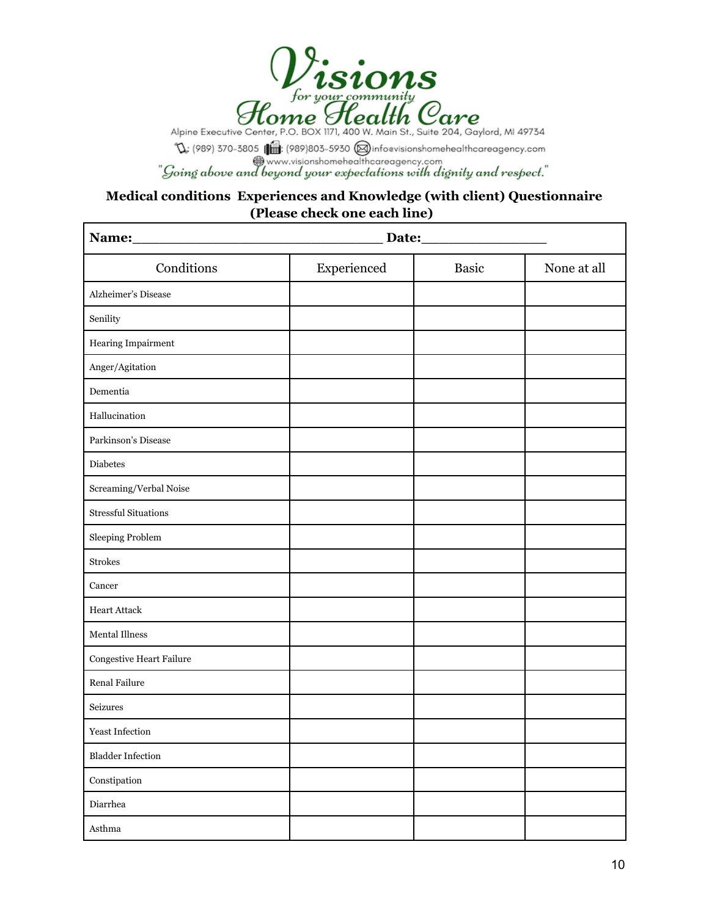![](_page_10_Picture_0.jpeg)

 $\mathbb{Q}$ : (989) 370-3805 ( $\blacksquare$ : (989) 803-5930 (@) infoevisionshomehealthcareagency.com<br>"Going above and beyond your expectations with dignity and respect."

# **Medical conditions Experiences and Knowledge (with client) Questionnaire (Please check one each line)**

| Conditions                     | Experienced | <b>Basic</b> | None at all |
|--------------------------------|-------------|--------------|-------------|
| Alzheimer's Disease            |             |              |             |
| Senility                       |             |              |             |
| Hearing Impairment             |             |              |             |
| Anger/Agitation                |             |              |             |
| Dementia                       |             |              |             |
| Hallucination                  |             |              |             |
| Parkinson's Disease            |             |              |             |
| <b>Diabetes</b>                |             |              |             |
| Screaming/Verbal Noise         |             |              |             |
| <b>Stressful Situations</b>    |             |              |             |
| Sleeping Problem               |             |              |             |
| <b>Strokes</b>                 |             |              |             |
| Cancer                         |             |              |             |
| <b>Heart Attack</b>            |             |              |             |
| Mental Illness                 |             |              |             |
| Congestive Heart Failure       |             |              |             |
| Renal Failure                  |             |              |             |
| Seizures                       |             |              |             |
| Yeast Infection                |             |              |             |
| <b>Bladder Infection</b>       |             |              |             |
| $\mbox{Constitution}$          |             |              |             |
| Diarrhea                       |             |              |             |
| $A\ensuremath{\mathrm{sthma}}$ |             |              |             |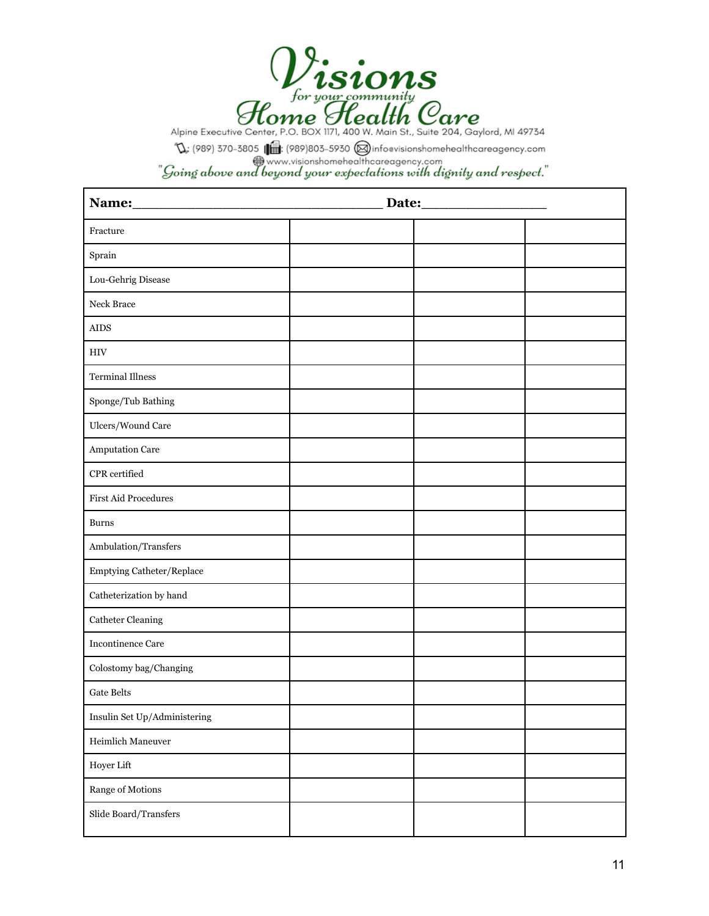![](_page_11_Picture_0.jpeg)

 $\mathbb{Q}$ : (989) 370-3805 ( $\blacksquare$ : (989) 803-5930 (@) infoevisionshomehealthcareagency.com<br>"Going above and beyond your expectations with dignity and respect."

| Name:                        |  |  |
|------------------------------|--|--|
| Fracture                     |  |  |
| Sprain                       |  |  |
| Lou-Gehrig Disease           |  |  |
| Neck Brace                   |  |  |
| ${\rm AIDS}$                 |  |  |
| <b>HIV</b>                   |  |  |
| <b>Terminal Illness</b>      |  |  |
| Sponge/Tub Bathing           |  |  |
| Ulcers/Wound Care            |  |  |
| Amputation Care              |  |  |
| CPR certified                |  |  |
| <b>First Aid Procedures</b>  |  |  |
| <b>Burns</b>                 |  |  |
| Ambulation/Transfers         |  |  |
| Emptying Catheter/Replace    |  |  |
| Catheterization by hand      |  |  |
| <b>Catheter Cleaning</b>     |  |  |
| <b>Incontinence Care</b>     |  |  |
| Colostomy bag/Changing       |  |  |
| <b>Gate Belts</b>            |  |  |
| Insulin Set Up/Administering |  |  |
| Heimlich Maneuver            |  |  |
| Hoyer Lift                   |  |  |
| Range of Motions             |  |  |
| Slide Board/Transfers        |  |  |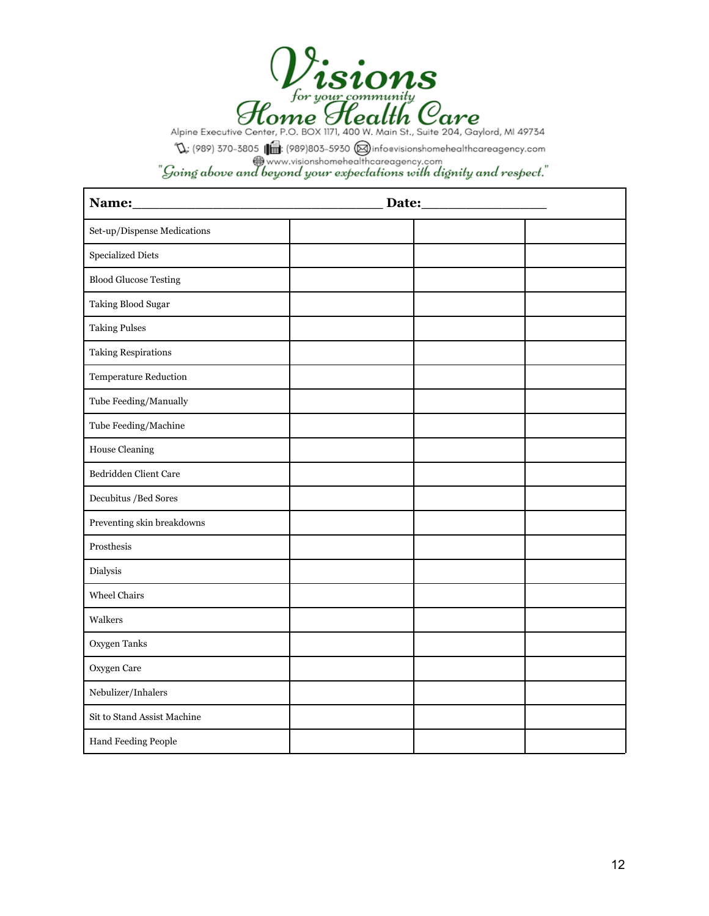![](_page_12_Picture_0.jpeg)

| Set-up/Dispense Medications  |  |
|------------------------------|--|
| Specialized Diets            |  |
| <b>Blood Glucose Testing</b> |  |
| Taking Blood Sugar           |  |
| <b>Taking Pulses</b>         |  |
| <b>Taking Respirations</b>   |  |
| Temperature Reduction        |  |
| Tube Feeding/Manually        |  |
| Tube Feeding/Machine         |  |
| <b>House Cleaning</b>        |  |
| Bedridden Client Care        |  |
| Decubitus / Bed Sores        |  |
| Preventing skin breakdowns   |  |
| Prosthesis                   |  |
| Dialysis                     |  |
| Wheel Chairs                 |  |
| Walkers                      |  |
| Oxygen Tanks                 |  |
| Oxygen Care                  |  |
| Nebulizer/Inhalers           |  |
| Sit to Stand Assist Machine  |  |
| Hand Feeding People          |  |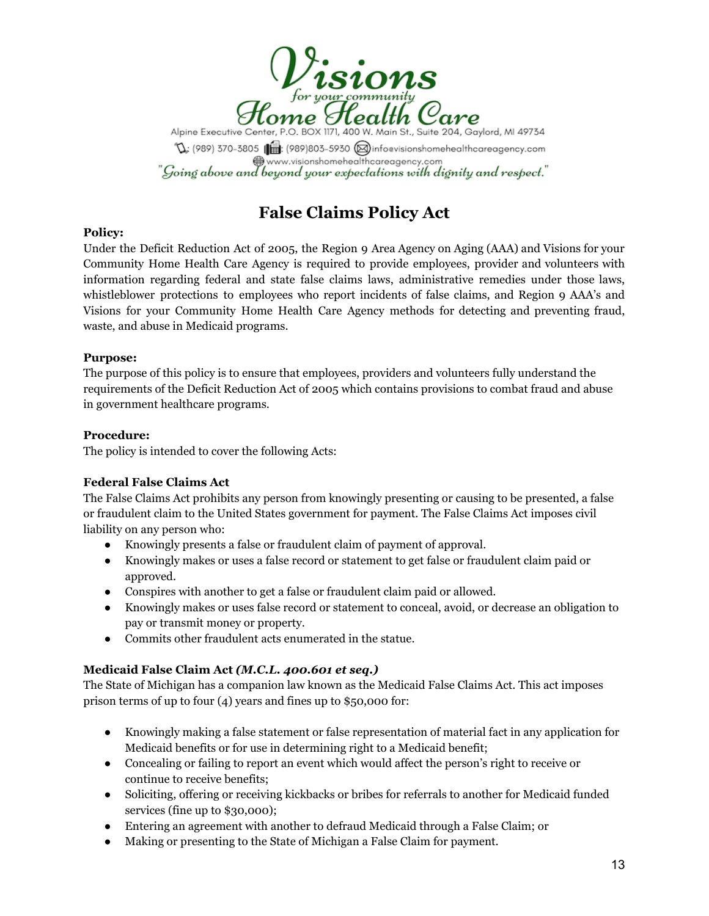![](_page_13_Picture_0.jpeg)

Alpine Executive Center, P.O. BOX 1171, 400 W. Main St., Suite 204, Gaylord, MI 49734  $\mathbb{Q}$ : (989) 370-3805 (989) 803-5930 (a) infoevisionshomehealthcareagency.com<br>
www.visionshomehealthcareagency.com  $"$ Going above and beyond your expectations with dignity and respect."  $\;$ 

# **False Claims Policy Act**

## **Policy:**

Under the Deficit Reduction Act of 2005, the Region 9 Area Agency on Aging (AAA) and Visions for your Community Home Health Care Agency is required to provide employees, provider and volunteers with information regarding federal and state false claims laws, administrative remedies under those laws, whistleblower protections to employees who report incidents of false claims, and Region 9 AAA's and Visions for your Community Home Health Care Agency methods for detecting and preventing fraud, waste, and abuse in Medicaid programs.

#### **Purpose:**

The purpose of this policy is to ensure that employees, providers and volunteers fully understand the requirements of the Deficit Reduction Act of 2005 which contains provisions to combat fraud and abuse in government healthcare programs.

## **Procedure:**

The policy is intended to cover the following Acts:

# **Federal False Claims Act**

The False Claims Act prohibits any person from knowingly presenting or causing to be presented, a false or fraudulent claim to the United States government for payment. The False Claims Act imposes civil liability on any person who:

- Knowingly presents a false or fraudulent claim of payment of approval.
- Knowingly makes or uses a false record or statement to get false or fraudulent claim paid or approved.
- Conspires with another to get a false or fraudulent claim paid or allowed.
- Knowingly makes or uses false record or statement to conceal, avoid, or decrease an obligation to pay or transmit money or property.
- Commits other fraudulent acts enumerated in the statue.

#### **Medicaid False Claim Act** *(M.C.L. 400.601 et seq.)*

The State of Michigan has a companion law known as the Medicaid False Claims Act. This act imposes prison terms of up to four (4) years and fines up to \$50,000 for:

- Knowingly making a false statement or false representation of material fact in any application for Medicaid benefits or for use in determining right to a Medicaid benefit;
- Concealing or failing to report an event which would affect the person's right to receive or continue to receive benefits;
- Soliciting, offering or receiving kickbacks or bribes for referrals to another for Medicaid funded services (fine up to \$30,000);
- Entering an agreement with another to defraud Medicaid through a False Claim; or
- Making or presenting to the State of Michigan a False Claim for payment.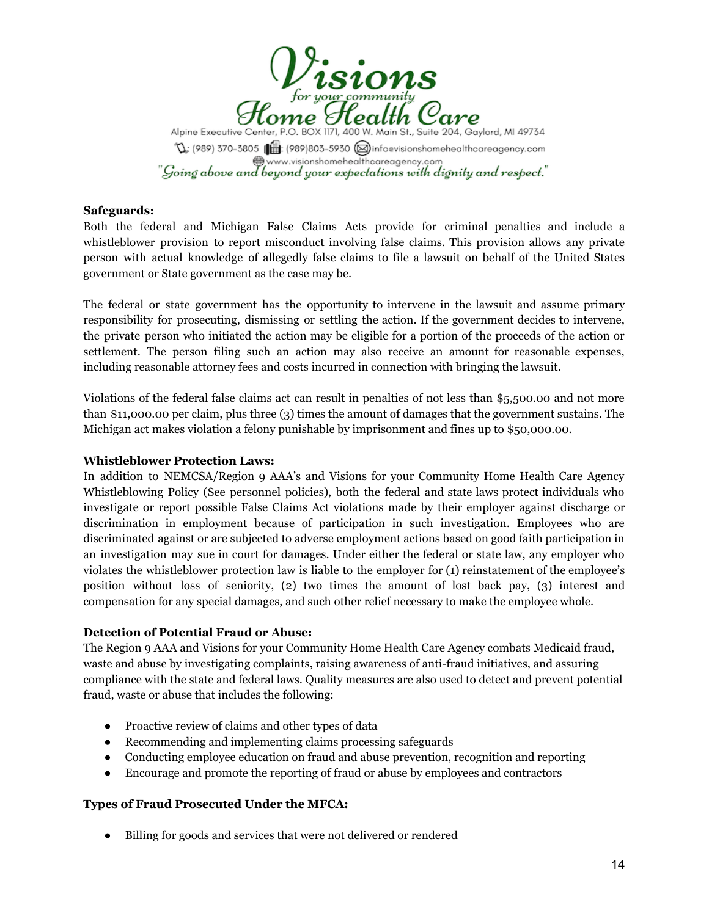![](_page_14_Picture_0.jpeg)

#### **Safeguards:**

Both the federal and Michigan False Claims Acts provide for criminal penalties and include a whistleblower provision to report misconduct involving false claims. This provision allows any private person with actual knowledge of allegedly false claims to file a lawsuit on behalf of the United States government or State government as the case may be.

The federal or state government has the opportunity to intervene in the lawsuit and assume primary responsibility for prosecuting, dismissing or settling the action. If the government decides to intervene, the private person who initiated the action may be eligible for a portion of the proceeds of the action or settlement. The person filing such an action may also receive an amount for reasonable expenses, including reasonable attorney fees and costs incurred in connection with bringing the lawsuit.

Violations of the federal false claims act can result in penalties of not less than \$5,500.00 and not more than \$11,000.00 per claim, plus three (3) times the amount of damages that the government sustains. The Michigan act makes violation a felony punishable by imprisonment and fines up to \$50,000.00.

#### **Whistleblower Protection Laws:**

In addition to NEMCSA/Region 9 AAA's and Visions for your Community Home Health Care Agency Whistleblowing Policy (See personnel policies), both the federal and state laws protect individuals who investigate or report possible False Claims Act violations made by their employer against discharge or discrimination in employment because of participation in such investigation. Employees who are discriminated against or are subjected to adverse employment actions based on good faith participation in an investigation may sue in court for damages. Under either the federal or state law, any employer who violates the whistleblower protection law is liable to the employer for (1) reinstatement of the employee's position without loss of seniority, (2) two times the amount of lost back pay, (3) interest and compensation for any special damages, and such other relief necessary to make the employee whole.

#### **Detection of Potential Fraud or Abuse:**

The Region 9 AAA and Visions for your Community Home Health Care Agency combats Medicaid fraud, waste and abuse by investigating complaints, raising awareness of anti-fraud initiatives, and assuring compliance with the state and federal laws. Quality measures are also used to detect and prevent potential fraud, waste or abuse that includes the following:

- Proactive review of claims and other types of data
- Recommending and implementing claims processing safeguards
- Conducting employee education on fraud and abuse prevention, recognition and reporting
- Encourage and promote the reporting of fraud or abuse by employees and contractors

#### **Types of Fraud Prosecuted Under the MFCA:**

● Billing for goods and services that were not delivered or rendered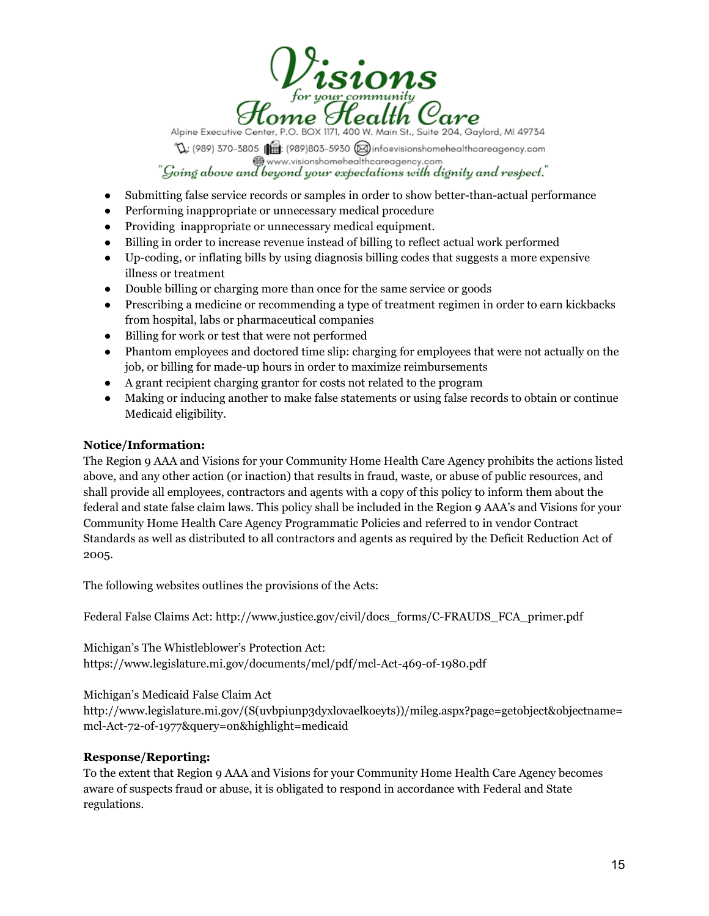![](_page_15_Picture_0.jpeg)

Alpine Executive Center, P.O. BOX 1171, 400 W. Main St., Suite 204, Gaylord, MI 49734

 $\mathbb{Q}$ : (989) 370-3805 ( $\bigoplus$ : (989) 803-5930 ( $\bigoplus$  infoevisionshomehealthcareagency.com "Going above and beyond your expectations with dignity and respect."

- Submitting false service records or samples in order to show better-than-actual performance
- Performing inappropriate or unnecessary medical procedure
- Providing inappropriate or unnecessary medical equipment.
- Billing in order to increase revenue instead of billing to reflect actual work performed
- Up-coding, or inflating bills by using diagnosis billing codes that suggests a more expensive illness or treatment
- Double billing or charging more than once for the same service or goods
- Prescribing a medicine or recommending a type of treatment regimen in order to earn kickbacks from hospital, labs or pharmaceutical companies
- Billing for work or test that were not performed
- Phantom employees and doctored time slip: charging for employees that were not actually on the job, or billing for made-up hours in order to maximize reimbursements
- A grant recipient charging grantor for costs not related to the program
- Making or inducing another to make false statements or using false records to obtain or continue Medicaid eligibility.

## **Notice/Information:**

The Region 9 AAA and Visions for your Community Home Health Care Agency prohibits the actions listed above, and any other action (or inaction) that results in fraud, waste, or abuse of public resources, and shall provide all employees, contractors and agents with a copy of this policy to inform them about the federal and state false claim laws. This policy shall be included in the Region 9 AAA's and Visions for your Community Home Health Care Agency Programmatic Policies and referred to in vendor Contract Standards as well as distributed to all contractors and agents as required by the Deficit Reduction Act of 2005.

The following websites outlines the provisions of the Acts:

Federal False Claims Act: [http://www.justice.gov/civil/docs\\_forms/C-FRAUDS\\_FCA\\_primer.pdf](http://www.justice.gov/civil/docs_forms/C-FRAUDS_FCA_primer.pdf)

Michigan's The Whistleblower's Protection Act: <https://www.legislature.mi.gov/documents/mcl/pdf/mcl-Act-469-of-1980.pdf>

Michigan's Medicaid False Claim Act

[http://www.legislature.mi.gov/\(S\(uvbpiunp3dyxlovaelkoeyts\)\)/mileg.aspx?page=getobject&objectname=](http://www.legislature.mi.gov/(S(uvbpiunp3dyxlovaelkoeyts))/mileg.aspx?page=getobject&objectname=mcl-Act-72-of-1977&query=on&highlight=medicaid) [mcl-Act-72-of-1977&query=on&highlight=medicaid](http://www.legislature.mi.gov/(S(uvbpiunp3dyxlovaelkoeyts))/mileg.aspx?page=getobject&objectname=mcl-Act-72-of-1977&query=on&highlight=medicaid)

#### **Response/Reporting:**

To the extent that Region 9 AAA and Visions for your Community Home Health Care Agency becomes aware of suspects fraud or abuse, it is obligated to respond in accordance with Federal and State regulations.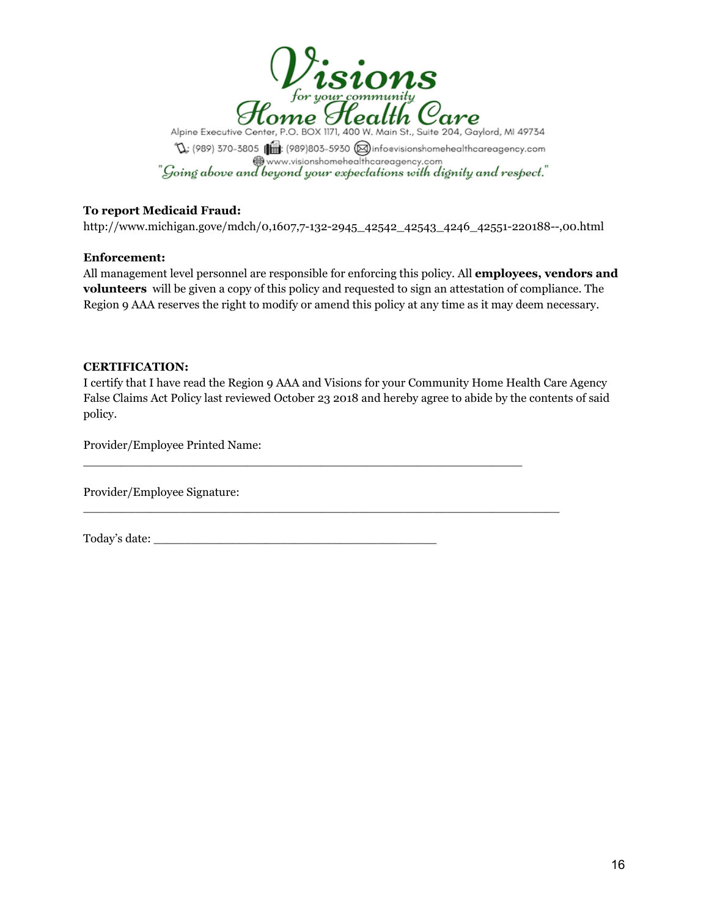![](_page_16_Picture_0.jpeg)

## **To report Medicaid Fraud:**

[http://www.michigan.gove/mdch/0,1607,7-132-2945\\_42542\\_42543\\_4246\\_42551-220188--,00.html](http://www.michigan.gove/mdch/0,1607,7-132-2945_42542_42543_4246_42551-220188--,00.html)

#### **Enforcement:**

All management level personnel are responsible for enforcing this policy. All **employees, vendors and volunteers** will be given a copy of this policy and requested to sign an attestation of compliance. The Region 9 AAA reserves the right to modify or amend this policy at any time as it may deem necessary.

#### **CERTIFICATION:**

I certify that I have read the Region 9 AAA and Visions for your Community Home Health Care Agency False Claims Act Policy last reviewed October 23 2018 and hereby agree to abide by the contents of said policy.

 $\_$  , and the state of the state of the state of the state of the state of the state of the state of the state of the state of the state of the state of the state of the state of the state of the state of the state of the

 $\_$  , and the state of the state of the state of the state of the state of the state of the state of the state of the state of the state of the state of the state of the state of the state of the state of the state of the

Provider/Employee Printed Name:

Provider/Employee Signature:

Today's date: \_\_\_\_\_\_\_\_\_\_\_\_\_\_\_\_\_\_\_\_\_\_\_\_\_\_\_\_\_\_\_\_\_\_\_\_\_\_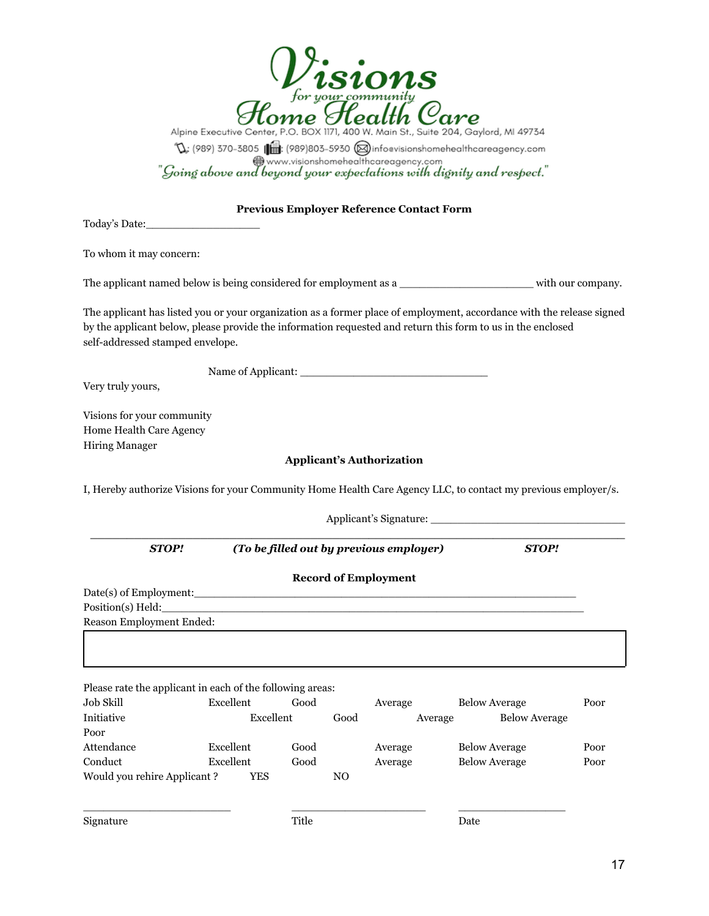|                                                                                |                        |              |                | for your community                              |         | Alpine Executive Center, P.O. BOX 1171, 400 W. Main St., Suite 204, Gaylord, MI 49734<br>$\mathbb{Q}$ : (989) 370-3805 (1989) 803-5930 (11foevisionshomehealthcareagency.com www.visionshomehealthcareagency.com<br>"Going above and beyond your expectations with dignity and respect." |      |
|--------------------------------------------------------------------------------|------------------------|--------------|----------------|-------------------------------------------------|---------|------------------------------------------------------------------------------------------------------------------------------------------------------------------------------------------------------------------------------------------------------------------------------------------|------|
|                                                                                |                        |              |                | <b>Previous Employer Reference Contact Form</b> |         |                                                                                                                                                                                                                                                                                          |      |
| To whom it may concern:                                                        |                        |              |                |                                                 |         |                                                                                                                                                                                                                                                                                          |      |
|                                                                                |                        |              |                |                                                 |         |                                                                                                                                                                                                                                                                                          |      |
|                                                                                |                        |              |                |                                                 |         |                                                                                                                                                                                                                                                                                          |      |
| self-addressed stamped envelope.                                               |                        |              |                |                                                 |         | The applicant has listed you or your organization as a former place of employment, accordance with the release signed<br>by the applicant below, please provide the information requested and return this form to us in the enclosed                                                     |      |
|                                                                                |                        |              |                |                                                 |         |                                                                                                                                                                                                                                                                                          |      |
| Very truly yours,                                                              |                        |              |                |                                                 |         |                                                                                                                                                                                                                                                                                          |      |
| Visions for your community<br>Home Health Care Agency<br><b>Hiring Manager</b> |                        |              |                | <b>Applicant's Authorization</b>                |         |                                                                                                                                                                                                                                                                                          |      |
|                                                                                |                        |              |                |                                                 |         | I, Hereby authorize Visions for your Community Home Health Care Agency LLC, to contact my previous employer/s.                                                                                                                                                                           |      |
|                                                                                |                        |              |                |                                                 |         |                                                                                                                                                                                                                                                                                          |      |
|                                                                                |                        |              |                |                                                 |         |                                                                                                                                                                                                                                                                                          |      |
| <b>STOP!</b>                                                                   |                        |              |                | (To be filled out by previous employer)         |         | <b>STOP!</b>                                                                                                                                                                                                                                                                             |      |
|                                                                                |                        |              |                | <b>Record of Employment</b>                     |         |                                                                                                                                                                                                                                                                                          |      |
|                                                                                |                        |              |                |                                                 |         |                                                                                                                                                                                                                                                                                          |      |
| Position(s) Held:                                                              |                        |              |                |                                                 |         |                                                                                                                                                                                                                                                                                          |      |
| Reason Employment Ended:                                                       |                        |              |                |                                                 |         |                                                                                                                                                                                                                                                                                          |      |
|                                                                                |                        |              |                |                                                 |         |                                                                                                                                                                                                                                                                                          |      |
|                                                                                |                        |              |                |                                                 |         |                                                                                                                                                                                                                                                                                          |      |
|                                                                                |                        |              |                |                                                 |         |                                                                                                                                                                                                                                                                                          |      |
| Please rate the applicant in each of the following areas:                      |                        |              |                |                                                 |         |                                                                                                                                                                                                                                                                                          |      |
| Job Skill<br>Initiative                                                        | Excellent<br>Excellent | Good         | Good           | Average                                         | Average | <b>Below Average</b><br><b>Below Average</b>                                                                                                                                                                                                                                             | Poor |
| Poor                                                                           |                        |              |                |                                                 |         |                                                                                                                                                                                                                                                                                          |      |
| Attendance                                                                     | Excellent              | Good         |                | Average                                         |         | <b>Below Average</b>                                                                                                                                                                                                                                                                     | Poor |
| Conduct                                                                        | Excellent              | Good         |                | Average                                         |         | <b>Below Average</b>                                                                                                                                                                                                                                                                     | Poor |
| Would you rehire Applicant ?                                                   | YES                    |              | N <sub>O</sub> |                                                 |         |                                                                                                                                                                                                                                                                                          |      |
|                                                                                |                        |              |                |                                                 |         |                                                                                                                                                                                                                                                                                          |      |
|                                                                                |                        | <b>Title</b> |                |                                                 |         | Date                                                                                                                                                                                                                                                                                     |      |
| Signature                                                                      |                        |              |                |                                                 |         |                                                                                                                                                                                                                                                                                          |      |